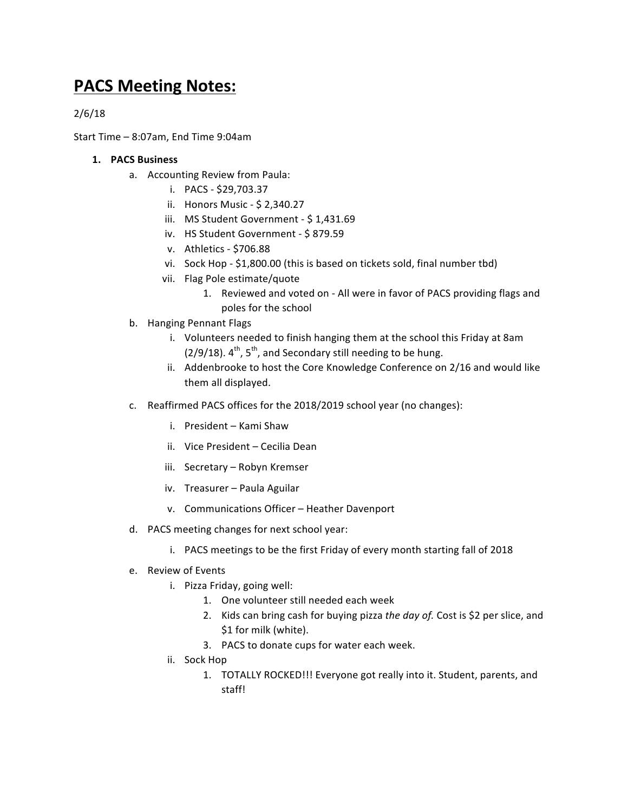## **PACS Meeting Notes:**

2/6/18

Start Time  $-8:07$ am, End Time  $9:04$ am

## **1. PACS Business**

- a. Accounting Review from Paula:
	- i. PACS \$29,703.37
	- ii. Honors Music \$ 2,340.27
	- iii. MS Student Government \$1,431.69
	- iv. HS Student Government \$879.59
	- v. Athletics \$706.88
	- vi. Sock Hop \$1,800.00 (this is based on tickets sold, final number tbd)
	- vii. Flag Pole estimate/quote
		- 1. Reviewed and voted on All were in favor of PACS providing flags and poles for the school
- b. Hanging Pennant Flags
	- i. Volunteers needed to finish hanging them at the school this Friday at 8am  $(2/9/18)$ .  $4^{\text{th}}$ ,  $5^{\text{th}}$ , and Secondary still needing to be hung.
	- ii. Addenbrooke to host the Core Knowledge Conference on 2/16 and would like them all displayed.
- c. Reaffirmed PACS offices for the 2018/2019 school year (no changes):
	- i. President Kami Shaw
	- ii. Vice President Cecilia Dean
	- iii. Secretary Robyn Kremser
	- iv. Treasurer Paula Aguilar
	- v. Communications Officer Heather Davenport
- d. PACS meeting changes for next school year:
	- i. PACS meetings to be the first Friday of every month starting fall of 2018
- e. Review of Events
	- i. Pizza Friday, going well:
		- 1. One volunteer still needed each week
		- 2. Kids can bring cash for buying pizza the day of. Cost is \$2 per slice, and \$1 for milk (white).
		- 3. PACS to donate cups for water each week.
	- ii. Sock Hop
		- 1. TOTALLY ROCKED!!! Everyone got really into it. Student, parents, and staff!